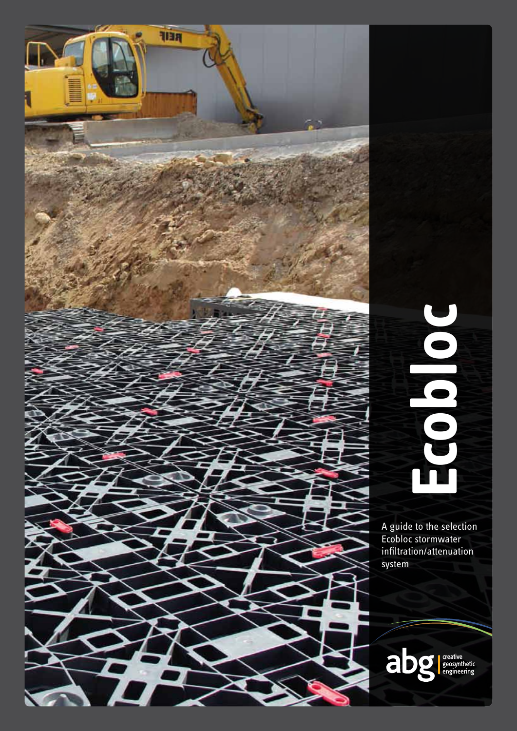

# **Ecobloc**

A guide to the selection Ecobloc stormwater infiltration/attenuation system

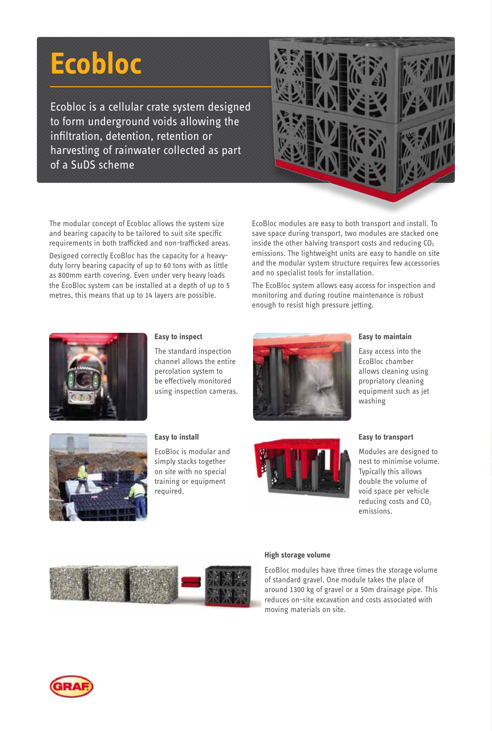# **Ecobloc**

Ecobloc is a cellular crate system designed to form underground voids allowing the infiltration, detention, retention or harvesting of rainwater collected as part of a SuDS scheme



The modular concept of Ecobloc allows the system size and bearing capacity to be tailored to suit site specific requirements in both trafficked and non-trafficked areas. Designed correctly EcoBloc has the capacity for a heavyduty lorry bearing capacity of up to 60 tons with as little as 800mm earth covering. Even under very heavy loads the EcoBloc system can be installed at a depth of up to 5 metres, this means that up to 14 layers are possible.

EcoBloc modules are easy to both transport and install. To save space during transport, two modules are stacked one inside the other halving transport costs and reducing  $CO<sub>2</sub>$ emissions. The lightweight units are easy to handle on site and the modular system structure requires few accessories and no specialist tools for installation.

The EcoBloc system allows easy access for inspection and monitoring and during routine maintenance is robust enough to resist high pressure jetting.



### **Easy to inspect**

The standard inspection channel allows the entire percolation system to be effectively monitored using inspection cameras.

# **Easy to install**

EcoBloc is modular and simply stacks together on site with no special training or equipment required.





### **Easy to maintain**

Easy access into the EcoBloc chamber allows cleaning using propriatory cleaning equipment such as jet washing



Modules are designed to nest to minimise volume. Typically this allows double the volume of void space per vehicle reducing costs and  $CO<sub>2</sub>$ emissions.



### **High storage volume**

EcoBloc modules have three times the storage volume of standard gravel. One module takes the place of around 1300 kg of gravel or a 50m drainage pipe. This reduces on-site excavation and costs associated with moving materials on site.

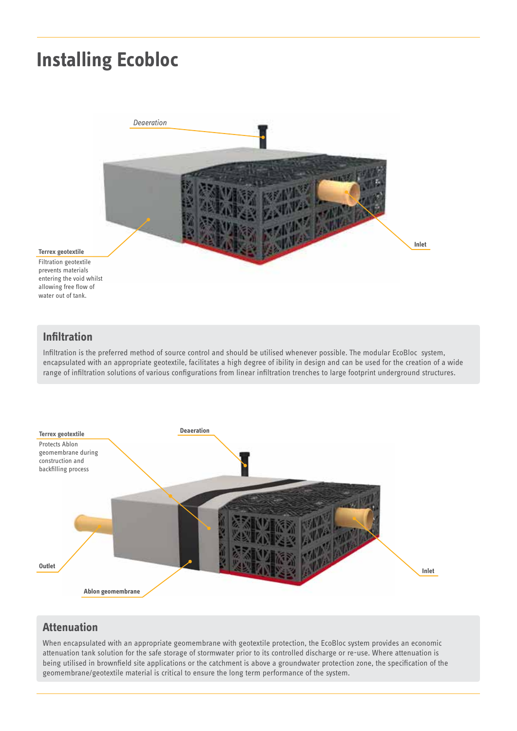# **Installing Ecobloc**



prevents materials entering the void whilst allowing free flow of water out of tank.

# **Infiltration**

Infiltration is the preferred method of source control and should be utilised whenever possible. The modular EcoBloc system, encapsulated with an appropriate geotextile, facilitates a high degree of ibility in design and can be used for the creation of a wide range of infiltration solutions of various configurations from linear infiltration trenches to large footprint underground structures.



## **Attenuation**

When encapsulated with an appropriate geomembrane with geotextile protection, the EcoBloc system provides an economic attenuation tank solution for the safe storage of stormwater prior to its controlled discharge or re-use. Where attenuation is being utilised in brownfield site applications or the catchment is above a groundwater protection zone, the specification of the geomembrane/geotextile material is critical to ensure the long term performance of the system.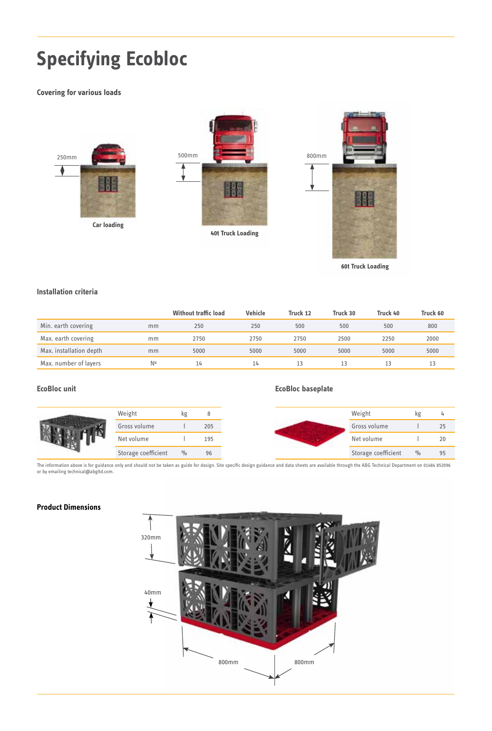# **Specifying Ecobloc**

### **Covering for various loads**



**Car loading**





**60t Truck Loading**

### **Installation criteria**

|                         |    | Without traffic load | Vehicle | Truck 12 | Truck 30 | Truck 40 | Truck 60 |
|-------------------------|----|----------------------|---------|----------|----------|----------|----------|
| Min. earth covering     | mm | 250                  | 250     | 500      | 500      | 500      | 800      |
| Max. earth covering     | mm | 2750                 | 2750    | 2750     | 2500     | 2250     | 2000     |
| Max. installation depth | mm | 5000                 | 5000    | 5000     | 5000     | 5000     | 5000     |
| Max. number of layers   | N۵ | 14                   | 14      | 13.      |          |          | 13       |



| Weight              | kg            |     |
|---------------------|---------------|-----|
| Gross volume        |               | 205 |
| Net volume          |               | 195 |
| Storage coefficient | $\frac{1}{2}$ | 96  |

### **EcoBloc unit EcoBloc baseplate**

| Weight              | kg            |     |
|---------------------|---------------|-----|
| Gross volume        |               | 205 |
| Net volume          |               | 195 |
| Storage coefficient | $\frac{0}{0}$ | 96  |

The information above is for guidance only and should not be taken as guide for design. Site specific design guidance and data sheets are available through the ABG Technical Department on 01484 852096 or by emailing technical@abgltd.com.

### **Product Dimensions**

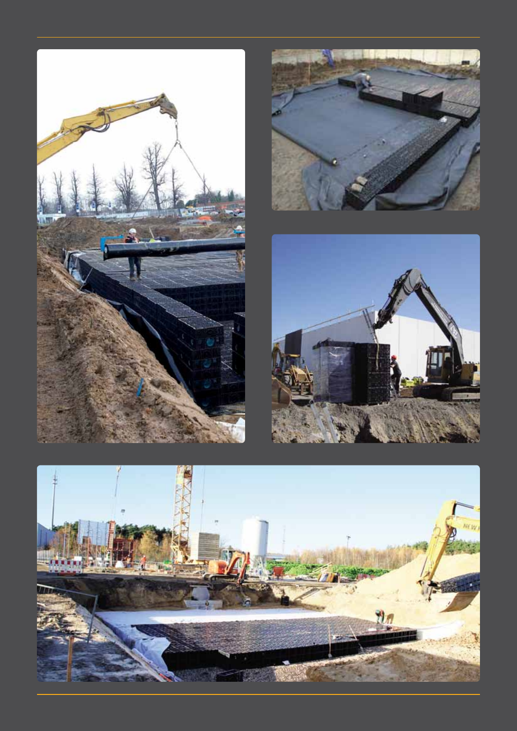